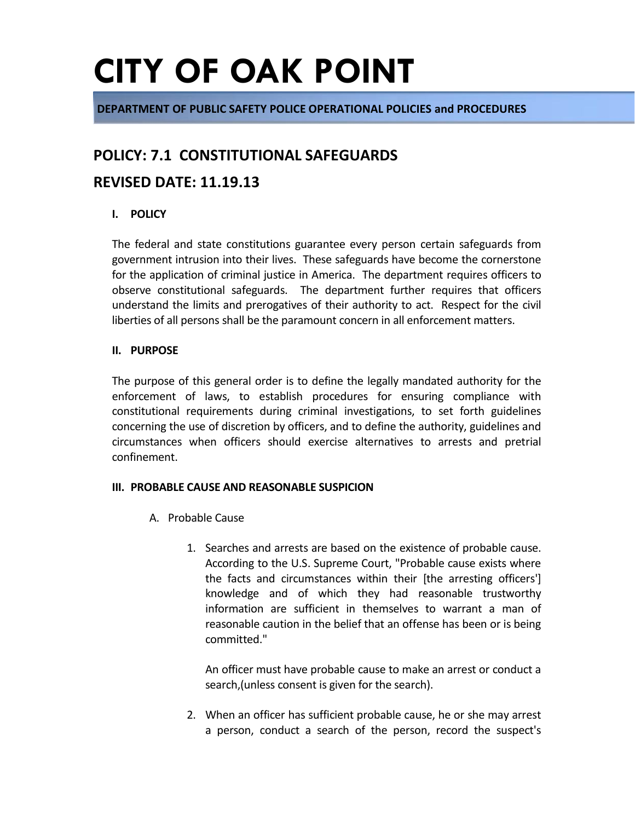**DEPARTMENT OF PUBLIC SAFETY POLICE OPERATIONAL POLICIES and PROCEDURES**

### **POLICY: 7.1 CONSTITUTIONAL SAFEGUARDS**

### **REVISED DATE: 11.19.13**

### **I. POLICY**

The federal and state constitutions guarantee every person certain safeguards from government intrusion into their lives. These safeguards have become the cornerstone for the application of criminal justice in America. The department requires officers to observe constitutional safeguards. The department further requires that officers understand the limits and prerogatives of their authority to act. Respect for the civil liberties of all persons shall be the paramount concern in all enforcement matters.

### **II. PURPOSE**

The purpose of this general order is to define the legally mandated authority for the enforcement of laws, to establish procedures for ensuring compliance with constitutional requirements during criminal investigations, to set forth guidelines concerning the use of discretion by officers, and to define the authority, guidelines and circumstances when officers should exercise alternatives to arrests and pretrial confinement.

#### **III. PROBABLE CAUSE AND REASONABLE SUSPICION**

- A. Probable Cause
	- 1. Searches and arrests are based on the existence of probable cause. According to the U.S. Supreme Court, "Probable cause exists where the facts and circumstances within their [the arresting officers'] knowledge and of which they had reasonable trustworthy information are sufficient in themselves to warrant a man of reasonable caution in the belief that an offense has been or is being committed."

An officer must have probable cause to make an arrest or conduct a search,(unless consent is given for the search).

2. When an officer has sufficient probable cause, he or she may arrest a person, conduct a search of the person, record the suspect's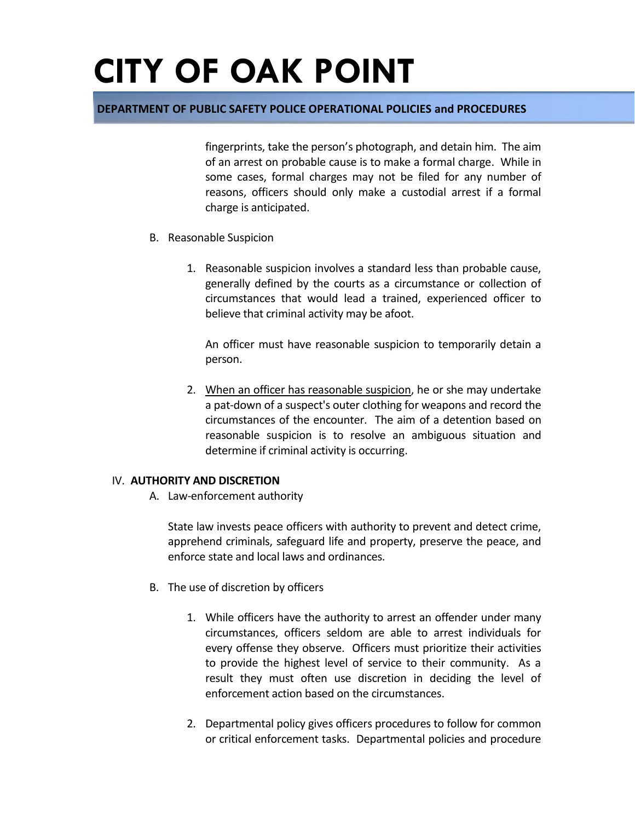### **DEPARTMENT OF PUBLIC SAFETY POLICE OPERATIONAL POLICIES and PROCEDURES**

fingerprints, take the person's photograph, and detain him. The aim of an arrest on probable cause is to make a formal charge. While in some cases, formal charges may not be filed for any number of reasons, officers should only make a custodial arrest if a formal charge is anticipated.

- B. Reasonable Suspicion
	- 1. Reasonable suspicion involves a standard less than probable cause, generally defined by the courts as a circumstance or collection of circumstances that would lead a trained, experienced officer to believe that criminal activity may be afoot.

An officer must have reasonable suspicion to temporarily detain a person.

2. When an officer has reasonable suspicion, he or she may undertake a pat-down of a suspect's outer clothing for weapons and record the circumstances of the encounter. The aim of a detention based on reasonable suspicion is to resolve an ambiguous situation and determine if criminal activity is occurring.

#### IV. **AUTHORITY AND DISCRETION**

A. Law-enforcement authority

State law invests peace officers with authority to prevent and detect crime, apprehend criminals, safeguard life and property, preserve the peace, and enforce state and local laws and ordinances.

- B. The use of discretion by officers
	- 1. While officers have the authority to arrest an offender under many circumstances, officers seldom are able to arrest individuals for every offense they observe. Officers must prioritize their activities to provide the highest level of service to their community. As a result they must often use discretion in deciding the level of enforcement action based on the circumstances.
	- 2. Departmental policy gives officers procedures to follow for common or critical enforcement tasks. Departmental policies and procedure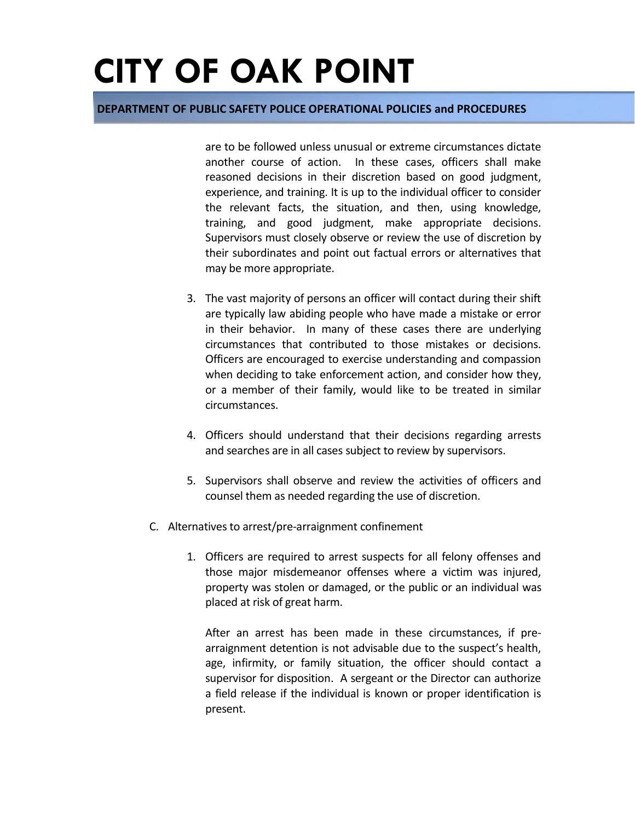### **DEPARTMENT OF PUBLIC SAFETY POLICE OPERATIONAL POLICIES and PROCEDURES**

are to be followed unless unusual or extreme circumstances dictate another course of action. In these cases, officers shall make reasoned decisions in their discretion based on good judgment, experience, and training. It is up to the individual officer to consider the relevant facts, the situation, and then, using knowledge, training, and good judgment, make appropriate decisions. Supervisors must closely observe or review the use of discretion by their subordinates and point out factual errors or alternatives that may be more appropriate.

- 3. The vast majority of persons an officer will contact during their shift are typically law abiding people who have made a mistake or error in their behavior. In many of these cases there are underlying circumstances that contributed to those mistakes or decisions. Officers are encouraged to exercise understanding and compassion when deciding to take enforcement action, and consider how they, or a member of their family, would like to be treated in similar circumstances.
- 4. Officers should understand that their decisions regarding arrests and searches are in all cases subject to review by supervisors.
- 5. Supervisors shall observe and review the activities of officers and counsel them as needed regarding the use of discretion.
- C. Alternatives to arrest/pre-arraignment confinement
	- 1. Officers are required to arrest suspects for all felony offenses and those major misdemeanor offenses where a victim was injured, property was stolen or damaged, or the public or an individual was placed at risk of great harm.

After an arrest has been made in these circumstances, if prearraignment detention is not advisable due to the suspect's health, age, infirmity, or family situation, the officer should contact a supervisor for disposition. A sergeant or the Director can authorize a field release if the individual is known or proper identification is present.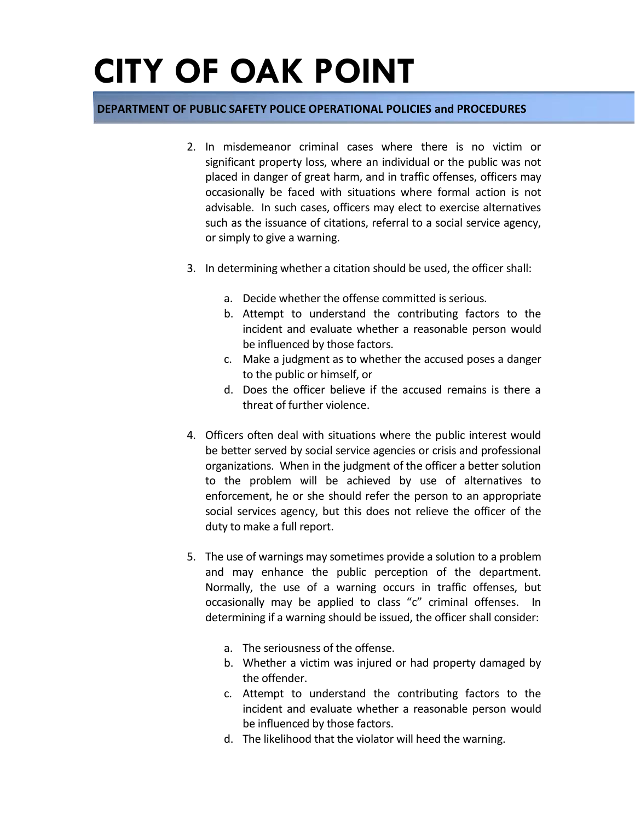### **DEPARTMENT OF PUBLIC SAFETY POLICE OPERATIONAL POLICIES and PROCEDURES**

- 2. In misdemeanor criminal cases where there is no victim or significant property loss, where an individual or the public was not placed in danger of great harm, and in traffic offenses, officers may occasionally be faced with situations where formal action is not advisable. In such cases, officers may elect to exercise alternatives such as the issuance of citations, referral to a social service agency, or simply to give a warning.
- 3. In determining whether a citation should be used, the officer shall:
	- a. Decide whether the offense committed is serious.
	- b. Attempt to understand the contributing factors to the incident and evaluate whether a reasonable person would be influenced by those factors.
	- c. Make a judgment as to whether the accused poses a danger to the public or himself, or
	- d. Does the officer believe if the accused remains is there a threat of further violence.
- 4. Officers often deal with situations where the public interest would be better served by social service agencies or crisis and professional organizations. When in the judgment of the officer a better solution to the problem will be achieved by use of alternatives to enforcement, he or she should refer the person to an appropriate social services agency, but this does not relieve the officer of the duty to make a full report.
- 5. The use of warnings may sometimes provide a solution to a problem and may enhance the public perception of the department. Normally, the use of a warning occurs in traffic offenses, but occasionally may be applied to class "c" criminal offenses. In determining if a warning should be issued, the officer shall consider:
	- a. The seriousness of the offense.
	- b. Whether a victim was injured or had property damaged by the offender.
	- c. Attempt to understand the contributing factors to the incident and evaluate whether a reasonable person would be influenced by those factors.
	- d. The likelihood that the violator will heed the warning.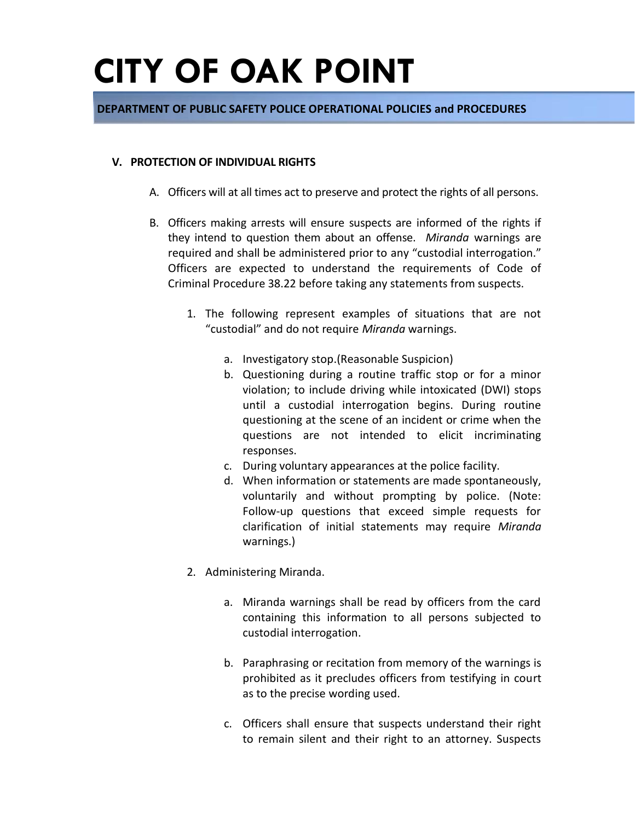### **DEPARTMENT OF PUBLIC SAFETY POLICE OPERATIONAL POLICIES and PROCEDURES**

#### **V. PROTECTION OF INDIVIDUAL RIGHTS**

- A. Officers will at all times act to preserve and protect the rights of all persons.
- B. Officers making arrests will ensure suspects are informed of the rights if they intend to question them about an offense. *Miranda* warnings are required and shall be administered prior to any "custodial interrogation." Officers are expected to understand the requirements of Code of Criminal Procedure 38.22 before taking any statements from suspects.
	- 1. The following represent examples of situations that are not "custodial" and do not require *Miranda* warnings.
		- a. Investigatory stop.(Reasonable Suspicion)
		- b. Questioning during a routine traffic stop or for a minor violation; to include driving while intoxicated (DWI) stops until a custodial interrogation begins. During routine questioning at the scene of an incident or crime when the questions are not intended to elicit incriminating responses.
		- c. During voluntary appearances at the police facility.
		- d. When information or statements are made spontaneously, voluntarily and without prompting by police. (Note: Follow-up questions that exceed simple requests for clarification of initial statements may require *Miranda*  warnings.)
	- 2. Administering Miranda.
		- a. Miranda warnings shall be read by officers from the card containing this information to all persons subjected to custodial interrogation.
		- b. Paraphrasing or recitation from memory of the warnings is prohibited as it precludes officers from testifying in court as to the precise wording used.
		- c. Officers shall ensure that suspects understand their right to remain silent and their right to an attorney. Suspects